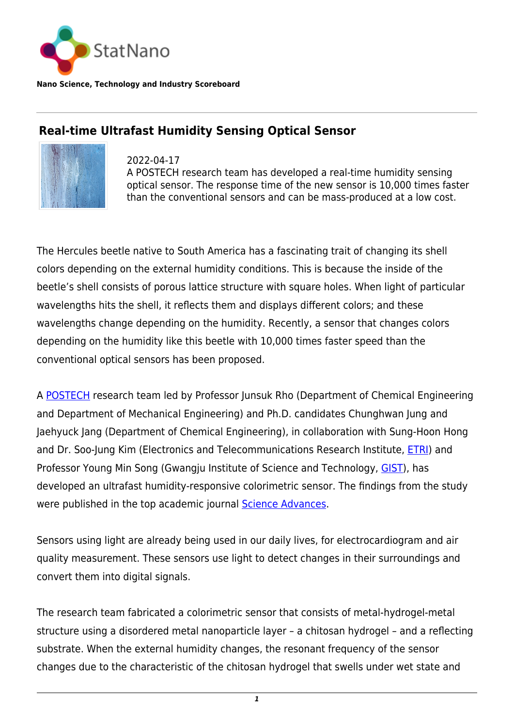

**Nano Science, Technology and Industry Scoreboard**

## **Real-time Ultrafast Humidity Sensing Optical Sensor**



2022-04-17 A POSTECH research team has developed a real-time humidity sensing optical sensor. The response time of the new sensor is 10,000 times faster than the conventional sensors and can be mass-produced at a low cost.

The Hercules beetle native to South America has a fascinating trait of changing its shell colors depending on the external humidity conditions. This is because the inside of the beetle's shell consists of porous lattice structure with square holes. When light of particular wavelengths hits the shell, it reflects them and displays different colors; and these wavelengths change depending on the humidity. Recently, a sensor that changes colors depending on the humidity like this beetle with 10,000 times faster speed than the conventional optical sensors has been proposed.

A [POSTECH](https://statnano.com/org/Pohang-University-of-Science-and-Technology) research team led by Professor Junsuk Rho (Department of Chemical Engineering and Department of Mechanical Engineering) and Ph.D. candidates Chunghwan Jung and Jaehyuck Jang (Department of Chemical Engineering), in collaboration with Sung-Hoon Hong and Dr. Soo-Jung Kim (Electronics and Telecommunications Research Institute, [ETRI](https://www.etri.re.kr/eng/main/main.etri)) and Professor Young Min Song (Gwangju Institute of Science and Technology, [GIST\)](https://www.gist.ac.kr/en/main.html), has developed an ultrafast humidity-responsive colorimetric sensor. The findings from the study were published in the top academic journal **Science Advances**.

Sensors using light are already being used in our daily lives, for electrocardiogram and air quality measurement. These sensors use light to detect changes in their surroundings and convert them into digital signals.

The research team fabricated a colorimetric sensor that consists of metal-hydrogel-metal structure using a disordered metal nanoparticle layer – a chitosan hydrogel – and a reflecting substrate. When the external humidity changes, the resonant frequency of the sensor changes due to the characteristic of the chitosan hydrogel that swells under wet state and